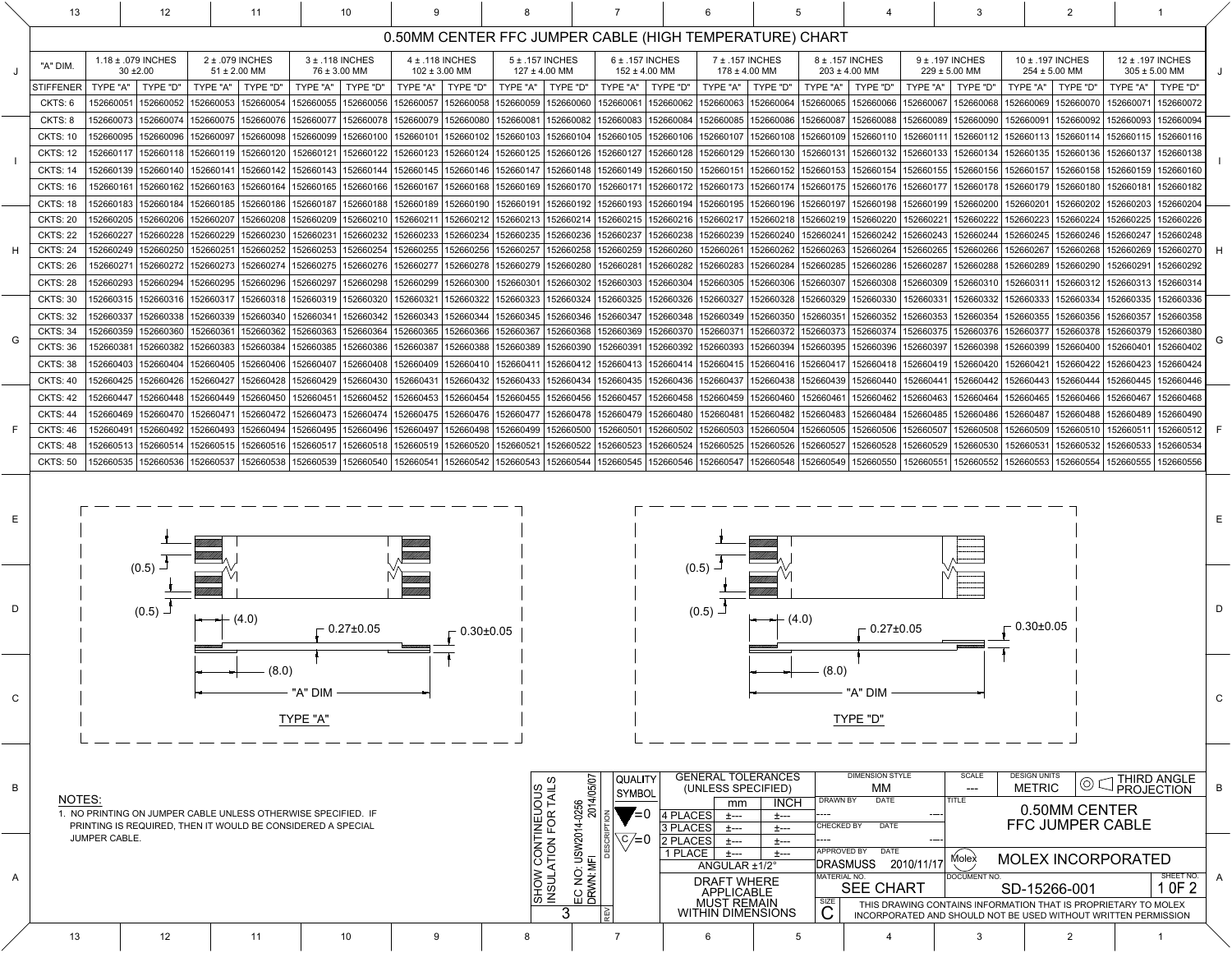|  |  |  |  |  | $\cup$ $\cup$ incorporated and should not be used without written Permission |  |  |  |  |  |  |  |
|--|--|--|--|--|------------------------------------------------------------------------------|--|--|--|--|--|--|--|
|  |  |  |  |  |                                                                              |  |  |  |  |  |  |  |

|              | 13                                 | 12                                                                                                                        |                                                           | 10                                                                                                                                                                                                                                                       |                                          |                       |                                                                                                                                                                                                                                                                                                  |                                          |                                                 |                                   |                                 |                                      |                        |                                                                |                                      |                                          |                                                    |                        |   |
|--------------|------------------------------------|---------------------------------------------------------------------------------------------------------------------------|-----------------------------------------------------------|----------------------------------------------------------------------------------------------------------------------------------------------------------------------------------------------------------------------------------------------------------|------------------------------------------|-----------------------|--------------------------------------------------------------------------------------------------------------------------------------------------------------------------------------------------------------------------------------------------------------------------------------------------|------------------------------------------|-------------------------------------------------|-----------------------------------|---------------------------------|--------------------------------------|------------------------|----------------------------------------------------------------|--------------------------------------|------------------------------------------|----------------------------------------------------|------------------------|---|
|              |                                    |                                                                                                                           |                                                           |                                                                                                                                                                                                                                                          |                                          |                       | 0.50MM CENTER FFC JUMPER CABLE (HIGH TEMPERATURE) CHART                                                                                                                                                                                                                                          |                                          |                                                 |                                   |                                 |                                      |                        |                                                                |                                      |                                          |                                                    |                        |   |
|              | "A" DIM                            | 1.18 ± .079 INCHES<br>$30 + 2.00$                                                                                         | 2 ± .079 INCHES<br>$51 \pm 2.00$ MM                       | 3 ± .118 INCHES<br>76 ± 3.00 MM                                                                                                                                                                                                                          | $4 \pm .118$ INCHES<br>$102 \pm 3.00$ MM |                       | $5 \pm .157$ INCHES<br>$127 \pm 4.00$ MM                                                                                                                                                                                                                                                         | $6 \pm .157$ INCHES<br>$152 \pm 4.00$ MM | 7 ± .157 INCHES<br>$178 \pm 4.00$ MM            |                                   |                                 | 8 ± .157 INCHES<br>$203 \pm 4.00$ MM |                        | 9 ± .197 INCHES<br>$229 \pm 5.00$ MM                           |                                      | 10 ± .197 INCHES<br>$254 \pm 5.00$ MM    | 12 ± .197 INCHES<br>$305 \pm 5.00$ MM              |                        |   |
|              | <b>STIFFENER</b>                   | TYPE "A"<br><b>TYPE "D'</b>                                                                                               | TYPE "A"<br><b>TYPE "D"</b>                               | <b>TYPE "D"</b><br>TYPE "A"                                                                                                                                                                                                                              | TYPE "A"<br><b>TYPE "D"</b>              | TYPE "A"              | <b>TYPE "D"</b><br>TYPE "A"                                                                                                                                                                                                                                                                      | TYPE "D"                                 | TYPE "A"                                        | "D" TYPE                          | TYPE "A"                        | TYPE "D'                             | TYPE "A"               | TYPE "D'                                                       | TYPE "A"   TYPE "D"                  |                                          | TYPE "A"                                           | <b>TYPE "D"</b>        |   |
|              | CKTS: 6                            | 15266005<br>152660052                                                                                                     | 152660053<br>52660054                                     | 52660055<br>152660056                                                                                                                                                                                                                                    | 152660058<br>152660057                   | 152660059             | 152660060<br>152660061                                                                                                                                                                                                                                                                           | 152660062                                | 152660063                                       | 152660064                         | 152660065                       | 152660066                            | 152660067              | 152660068                                                      | 152660069                            | 152660070                                | 152660071                                          | 152660072              |   |
|              | CKTS: 8                            | 52660073   152660074                                                                                                      | 152660075<br>152660076                                    | 152660077<br>152660078                                                                                                                                                                                                                                   | 152660079   152660080                    |                       | 152660081   152660082   152660083   152660084   152660085   152660086   152660087                                                                                                                                                                                                                |                                          |                                                 |                                   |                                 | 152660088                            |                        | 152660089   152660090                                          | 152660091                            | 152660092   152660093                    |                                                    | 152660094              |   |
|              | <b>CKTS: 10</b>                    | 52660095<br>152660096                                                                                                     | 152660097<br>52660098                                     | 52660099<br>152660100                                                                                                                                                                                                                                    | 152660101                                |                       | 152660102  152660103  152660104  152660105  152660106  152660107  152660108  152660109  152660110                                                                                                                                                                                                |                                          |                                                 |                                   |                                 |                                      | 152660111              | 152660112   152660113   152660114                              |                                      |                                          | 152660115   152660116                              |                        |   |
|              | <b>CKTS: 12</b><br><b>CKTS: 14</b> | 52660117<br>152660118<br>52660139<br>152660140                                                                            | 152660119<br>152660120<br>52660142<br>15266014            | 152660121<br>152660143                                                                                                                                                                                                                                   |                                          |                       | 152660122  152660123  152660124  152660125  152660126  152660127  152660128  152660129  152660130  152660131  152660132  <br>152660144  152660145  152660146  152660147  152660148  152660149  152660150  152660151  152660152  152660153  152660154  152660155  152660156  152660157  152660158 |                                          |                                                 |                                   |                                 |                                      |                        | 152660133   152660134                                          | 152660135   152660136                |                                          | 152660137<br>152660159                             | 152660138<br>152660160 |   |
|              | <b>CKTS: 16</b>                    | 152660161<br>  152660162   152660163                                                                                      | 152660164                                                 | 152660165                                                                                                                                                                                                                                                |                                          |                       | 152660166 152660167 152660168 152660169 152660170 152660171 152660172 152660173 152660174 152660175 152660176 152660177 152660178 152660179 152660179 152660179                                                                                                                                  |                                          |                                                 |                                   |                                 |                                      |                        |                                                                |                                      |                                          | 152660181                                          | 152660182              |   |
|              | <b>CKTS: 18</b>                    | 52660183   152660184                                                                                                      | 152660185<br>152660186                                    | 152660187                                                                                                                                                                                                                                                |                                          |                       | 152660188   152660189   152660190   152660191   152660192   152660193   152660194   152660195   152660196   152660197   152660198   152660199   152660200                                                                                                                                        |                                          |                                                 |                                   |                                 |                                      |                        |                                                                | 152660201                            | 152660202                                | 152660203                                          | 152660204              |   |
|              | <b>CKTS: 20</b>                    | 152660205   152660206                                                                                                     | 15266020<br>5266020                                       | 152660209<br>15266021                                                                                                                                                                                                                                    |                                          |                       | 152660211   152660212   152660213   152660214   152660215   152660216   152660217                                                                                                                                                                                                                |                                          |                                                 | '   152660218   152660219         |                                 | 152660220                            | 152660221              | 152660222   152660223   152660224                              |                                      |                                          | 152660225                                          | 152660226              |   |
|              | <b>CKTS: 22</b>                    | 52660227<br>152660228                                                                                                     | 152660229<br>52660230                                     | 152660231<br>52660232                                                                                                                                                                                                                                    | 152660233<br> 152660234                  |                       | 152660235   152660236   152660237   152660238   152660239   152660240   152660241                                                                                                                                                                                                                |                                          |                                                 |                                   |                                 | 152660242                            | 152660243              | 152660244                                                      | 152660245   152660246                |                                          | 152660247                                          | 152660248              |   |
|              | <b>CKTS: 24</b>                    | 152660249   152660250                                                                                                     | 15266025<br>52660252                                      | 152660253<br>152660254                                                                                                                                                                                                                                   |                                          |                       | 152660255   152660256   152660257   152660258   152660259   152660260                                                                                                                                                                                                                            |                                          | 152660261                                       | 152660262   152660263   152660264 |                                 |                                      | 152660265              | 152660266                                                      | 152660267   152660268                |                                          | 152660269                                          | 152660270              |   |
|              | <b>CKTS: 26</b>                    | 15266027<br>152660272                                                                                                     | 152660273<br>152660274                                    | 152660275<br>152660276                                                                                                                                                                                                                                   |                                          |                       | 152660277   152660278   152660279   152660280   152660281                                                                                                                                                                                                                                        |                                          | 152660282  152660283  152660284  152660285      |                                   |                                 | 152660286                            | 152660287              | 152660288                                                      | 152660289   152660290                |                                          | 152660291                                          | 152660292              |   |
|              | <b>CKTS: 28</b><br><b>CKTS: 30</b> | 152660294<br>52660293<br>152660316<br>52660315                                                                            | 152660295<br>52660296<br>15266031<br>15266031             | 52660297<br>152660298<br>152660319<br>152660320                                                                                                                                                                                                          | 152660299<br>152660300<br>152660321      | 152660322   152660323 | 152660301   152660302   152660303   152660304   152660305   152660306   152660307  <br>152660324                                                                                                                                                                                                 | 152660325   152660326   152660327        |                                                 | 152660328                         | 152660329                       | 152660308<br>152660330               | 152660309<br>152660331 | 152660310   152660311   152660312<br>152660332                 | 152660333                            | 152660334                                | 152660313<br>152660335                             | 152660314<br>152660336 |   |
|              | <b>CKTS: 32</b>                    | 152660338<br>52660337                                                                                                     | 152660339<br>52660340                                     | 152660341                                                                                                                                                                                                                                                |                                          |                       | 152660342   152660343   152660344   152660345   152660346   152660347   152660348   152660349   152660350   152660351                                                                                                                                                                            |                                          |                                                 |                                   |                                 | 152660352 152660353                  |                        | 152660354                                                      | 152660355   152660356                |                                          | 152660357                                          | 152660358              |   |
|              | <b>CKTS: 34</b>                    | 152660359   152660360                                                                                                     | 152660361<br>152660362                                    | 152660363<br>152660364                                                                                                                                                                                                                                   |                                          |                       | 152660365  152660366  152660367  152660368  152660369  152660370  152660371  152660372  152660373  152660374  152660375  152660376  152660377  152660377  152660378                                                                                                                              |                                          |                                                 |                                   |                                 |                                      |                        |                                                                |                                      |                                          | 152660379                                          | 152660380              |   |
|              | <b>CKTS: 36</b>                    |                                                                                                                           |                                                           | 152660381   152660382   152660383   152660384   152660385   152660386   152660387   152660388   152660388   152660390   152660391   152660392   152660393   152660394   152660395   152660396   152660397   152660398   1526603                          |                                          |                       |                                                                                                                                                                                                                                                                                                  |                                          |                                                 |                                   |                                 |                                      |                        |                                                                |                                      |                                          |                                                    | 152660402              |   |
|              | <b>CKTS: 38</b>                    |                                                                                                                           | 152660403   152660404   152660405   152660406   152660407 |                                                                                                                                                                                                                                                          |                                          |                       | 152660408  152660409  152660410   152660411  152660412  152660413  152660414  152660415  152660416  152660417  152660418  152660419  152660420  152660422  152660423  152660424   152660423   152660424                                                                                          |                                          |                                                 |                                   |                                 |                                      |                        |                                                                |                                      |                                          |                                                    |                        |   |
|              | <b>CKTS: 40</b>                    | 152660425   152660426   152660427                                                                                         | 152660428                                                 | 152660429                                                                                                                                                                                                                                                |                                          |                       | 152660430 152660431 152660432 152660433 152660434 152660435 152660436 152660437 152660438 152660439 152660440 152660441 152660442 152660443 152660444 152660445 152660445 152660445                                                                                                              |                                          |                                                 |                                   |                                 |                                      |                        |                                                                |                                      |                                          |                                                    |                        |   |
|              | <b>CKTS: 42</b>                    | 152660447   152660448   152660449                                                                                         | 152660450                                                 | 152660451                                                                                                                                                                                                                                                |                                          |                       | 152660452  152660453  152660454  152660455  152660456  152660457  152660458  152660459  152660460  152660461  152660462  152660463  152660464  152660465  152660466  152660466  152660467                                                                                                        |                                          |                                                 |                                   |                                 |                                      |                        |                                                                |                                      |                                          |                                                    | 152660468              |   |
|              | <b>CKTS: 44</b>                    | 52660469   152660470                                                                                                      | 152660471                                                 | 152660472  152660473  152660474  152660475  152660476  152660477  152660478  152660479  152660480  152660481  152660482  152660483  152660484  152660485  152660486  152660487  152660488                                                                |                                          |                       |                                                                                                                                                                                                                                                                                                  |                                          |                                                 |                                   |                                 |                                      |                        |                                                                |                                      |                                          | 152660489                                          | 152660490              |   |
|              | <b>CKTS: 46</b>                    |                                                                                                                           |                                                           | 152660491   152660492   152660493   152660494   152660495   152660496   152660497   152660498   152660498   152660500   152660500   152660502   152660503   152660504   152660506   152660506   152660507   152660508   1526605                          |                                          |                       |                                                                                                                                                                                                                                                                                                  |                                          |                                                 |                                   |                                 |                                      |                        |                                                                |                                      |                                          |                                                    | 152660512              |   |
|              | <b>CKTS: 48</b><br><b>CKTS: 50</b> | 52660513   152660514   152660515  <br>152660535   152660536   152660537                                                   | 152660538                                                 | 152660516   152660517<br> 152660539  152660540   152660541  152660542  152660543  152660544  152660545  152660546  152660547  152660548  152660549  152660550  152660551  152660552  152660553  152660554  152660555  152660555  152660555  152660555  1 |                                          |                       | 152660518 152660519 152660520 152660521 152660522 152660523 152660524 152660525 152660526 152660527 152660527 152660528 152660529 152660530 152660531 152660532 152660533 152660534                                                                                                              |                                          |                                                 |                                   |                                 |                                      |                        |                                                                |                                      |                                          |                                                    |                        |   |
|              |                                    |                                                                                                                           |                                                           |                                                                                                                                                                                                                                                          |                                          |                       |                                                                                                                                                                                                                                                                                                  |                                          |                                                 |                                   |                                 |                                      |                        |                                                                |                                      |                                          |                                                    |                        |   |
|              |                                    |                                                                                                                           |                                                           |                                                                                                                                                                                                                                                          |                                          |                       |                                                                                                                                                                                                                                                                                                  |                                          |                                                 |                                   |                                 |                                      |                        |                                                                |                                      |                                          |                                                    |                        |   |
|              |                                    |                                                                                                                           |                                                           |                                                                                                                                                                                                                                                          |                                          |                       |                                                                                                                                                                                                                                                                                                  |                                          |                                                 |                                   |                                 |                                      |                        |                                                                |                                      |                                          |                                                    |                        |   |
|              |                                    | (0.5)                                                                                                                     |                                                           |                                                                                                                                                                                                                                                          |                                          |                       |                                                                                                                                                                                                                                                                                                  |                                          | (0.5)                                           |                                   |                                 |                                      |                        |                                                                |                                      |                                          |                                                    |                        |   |
|              |                                    |                                                                                                                           |                                                           |                                                                                                                                                                                                                                                          |                                          |                       |                                                                                                                                                                                                                                                                                                  |                                          |                                                 |                                   |                                 |                                      |                        |                                                                |                                      |                                          |                                                    |                        |   |
|              |                                    | $(0.5)$ $\Box$                                                                                                            |                                                           |                                                                                                                                                                                                                                                          |                                          |                       |                                                                                                                                                                                                                                                                                                  |                                          | (0.5)                                           |                                   |                                 |                                      |                        |                                                                |                                      |                                          |                                                    |                        | D |
|              |                                    |                                                                                                                           | $\leftarrow$ (4.0)                                        | 0.27±0.05 -                                                                                                                                                                                                                                              | $-0.30\pm0.05$                           |                       |                                                                                                                                                                                                                                                                                                  |                                          |                                                 | $\leftarrow \leftarrow (4.0)$     |                                 | $-0.27 \pm 0.05$                     |                        |                                                                | $-0.30\pm0.05$                       |                                          |                                                    |                        |   |
|              |                                    |                                                                                                                           |                                                           |                                                                                                                                                                                                                                                          |                                          |                       |                                                                                                                                                                                                                                                                                                  |                                          |                                                 |                                   |                                 |                                      |                        |                                                                |                                      |                                          |                                                    |                        |   |
|              |                                    |                                                                                                                           | (8.0)                                                     |                                                                                                                                                                                                                                                          |                                          |                       |                                                                                                                                                                                                                                                                                                  |                                          |                                                 |                                   | $(0.8)$ –                       |                                      |                        |                                                                |                                      |                                          |                                                    |                        |   |
|              |                                    |                                                                                                                           |                                                           |                                                                                                                                                                                                                                                          |                                          |                       |                                                                                                                                                                                                                                                                                                  |                                          |                                                 |                                   |                                 |                                      |                        |                                                                |                                      |                                          |                                                    |                        |   |
|              |                                    |                                                                                                                           |                                                           | "A" DIM                                                                                                                                                                                                                                                  |                                          |                       |                                                                                                                                                                                                                                                                                                  |                                          |                                                 |                                   |                                 | "A" DIM                              |                        |                                                                |                                      |                                          |                                                    |                        |   |
|              |                                    | TYPE "D"<br>TYPE "A"                                                                                                      |                                                           |                                                                                                                                                                                                                                                          |                                          |                       |                                                                                                                                                                                                                                                                                                  |                                          |                                                 |                                   |                                 |                                      |                        |                                                                |                                      |                                          |                                                    |                        |   |
|              |                                    |                                                                                                                           |                                                           |                                                                                                                                                                                                                                                          |                                          |                       |                                                                                                                                                                                                                                                                                                  |                                          |                                                 |                                   |                                 |                                      |                        |                                                                |                                      |                                          |                                                    |                        |   |
|              |                                    |                                                                                                                           |                                                           |                                                                                                                                                                                                                                                          |                                          |                       |                                                                                                                                                                                                                                                                                                  |                                          |                                                 |                                   |                                 |                                      |                        |                                                                |                                      |                                          |                                                    |                        |   |
| $\mathsf B$  |                                    |                                                                                                                           |                                                           |                                                                                                                                                                                                                                                          |                                          |                       | QUALITY                                                                                                                                                                                                                                                                                          |                                          | <b>GENERAL TOLERANCES</b><br>(UNLESS SPECIFIED) |                                   |                                 | <b>DIMENSION STYLE</b><br>МM         |                        | SCALE<br>$---$                                                 | <b>DESIGN UNITS</b><br><b>METRIC</b> |                                          | $\circledcirc$ $\subset$ THIRD ANGLE<br>PROJECTION |                        | B |
|              | <b>NOTES:</b>                      |                                                                                                                           |                                                           |                                                                                                                                                                                                                                                          |                                          |                       | SYMBOL                                                                                                                                                                                                                                                                                           |                                          | mm                                              | <b>INCH</b>                       | <b>DRAWN BY</b>                 | <b>DATE</b>                          |                        | <b>TITLE</b>                                                   |                                      |                                          |                                                    |                        |   |
|              |                                    | NO PRINTING ON JUMPER CABLE UNLESS OTHERWISE SPECIFIED. IF<br>PRINTING IS REQUIRED, THEN IT WOULD BE CONSIDERED A SPECIAL |                                                           |                                                                                                                                                                                                                                                          |                                          |                       | $\blacktriangledown = 0$                                                                                                                                                                                                                                                                         | 4 PLACES                                 | 土---                                            | 土---                              | <b>CHECKED BY</b>               | <b>DATE</b>                          | ----                   |                                                                |                                      | 0.50MM CENTER<br><b>FFC JUMPER CABLE</b> |                                                    |                        |   |
|              |                                    | <b>JUMPER CABLE.</b>                                                                                                      |                                                           |                                                                                                                                                                                                                                                          |                                          |                       | $C/\equiv 0$                                                                                                                                                                                                                                                                                     | 3 PLACES<br>$ 2$ PLACES $ $              | 土---<br>土---                                    | 土---<br>土---                      |                                 |                                      |                        |                                                                |                                      |                                          |                                                    |                        |   |
|              |                                    |                                                                                                                           |                                                           |                                                                                                                                                                                                                                                          |                                          |                       | CONTINEUOUS<br>ATION FOR TAILS                                                                                                                                                                                                                                                                   | 1 PLACE $ $                              | 土---                                            | 土---                              | <b>APPROVED BY</b>              | <b>DATE</b>                          |                        | Molex                                                          |                                      | <b>MOLEX INCORPORATED</b>                |                                                    |                        |   |
| $\mathsf{A}$ |                                    |                                                                                                                           |                                                           |                                                                                                                                                                                                                                                          |                                          |                       |                                                                                                                                                                                                                                                                                                  |                                          | ANGULAR ±1/2°                                   |                                   | <b>DRASMUSS</b><br>MATERIAL NO. |                                      | 2010/11/17             | <b>DOCUMENT NO.</b>                                            |                                      |                                          |                                                    | SHEET NO.              |   |
|              |                                    |                                                                                                                           |                                                           |                                                                                                                                                                                                                                                          |                                          |                       | EC NO: USW2014-<br>DRWN: MFI<br><b>ATORNIN</b><br>MOHS                                                                                                                                                                                                                                           |                                          | <b>DRAFT WHERE</b><br><b>APPLICABLE</b>         |                                   |                                 | <b>SEE CHART</b>                     |                        |                                                                | SD-15266-001                         |                                          |                                                    | 1 OF 2                 |   |
|              |                                    |                                                                                                                           |                                                           |                                                                                                                                                                                                                                                          |                                          |                       |                                                                                                                                                                                                                                                                                                  |                                          | <b>MUST REMAIN</b><br><b>WITHIN DIMENSIONS</b>  |                                   | $\overline{\textbf{C}}$         |                                      |                        | THIS DRAWING CONTAINS INFORMATION THAT IS PROPRIETARY TO MOLEX |                                      |                                          |                                                    |                        |   |
|              |                                    |                                                                                                                           |                                                           |                                                                                                                                                                                                                                                          |                                          |                       |                                                                                                                                                                                                                                                                                                  |                                          |                                                 |                                   |                                 |                                      |                        | INCORPORATED AND SHOULD NOT BE USED WITHOUT WRITTEN PERMISSION |                                      |                                          |                                                    |                        |   |